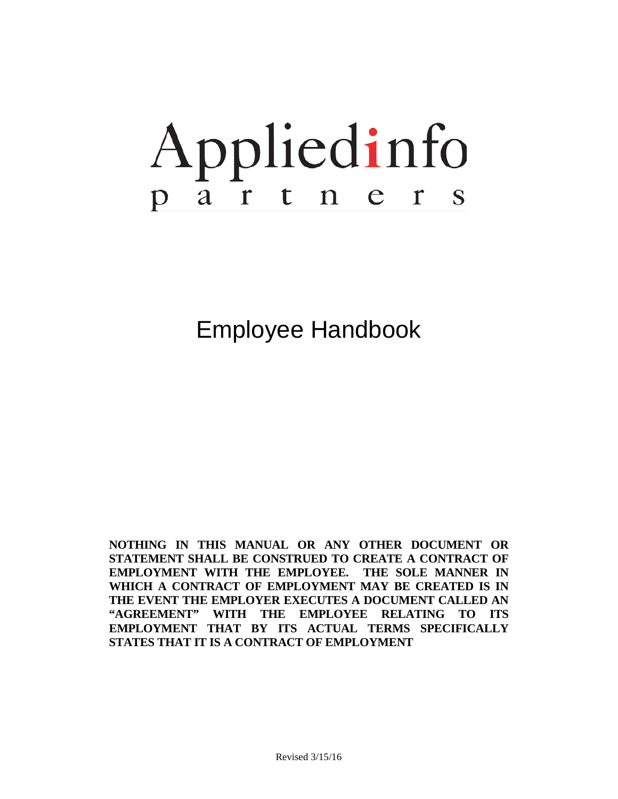# Appliedinfo partner  $\overline{\mathbf{S}}$

Employee Handbook

**NOTHING IN THIS MANUAL OR ANY OTHER DOCUMENT OR STATEMENT SHALL BE CONSTRUED TO CREATE A CONTRACT OF EMPLOYMENT WITH THE EMPLOYEE. THE SOLE MANNER IN WHICH A CONTRACT OF EMPLOYMENT MAY BE CREATED IS IN THE EVENT THE EMPLOYER EXECUTES A DOCUMENT CALLED AN "AGREEMENT" WITH THE EMPLOYEE RELATING TO ITS EMPLOYMENT THAT BY ITS ACTUAL TERMS SPECIFICALLY STATES THAT IT IS A CONTRACT OF EMPLOYMENT**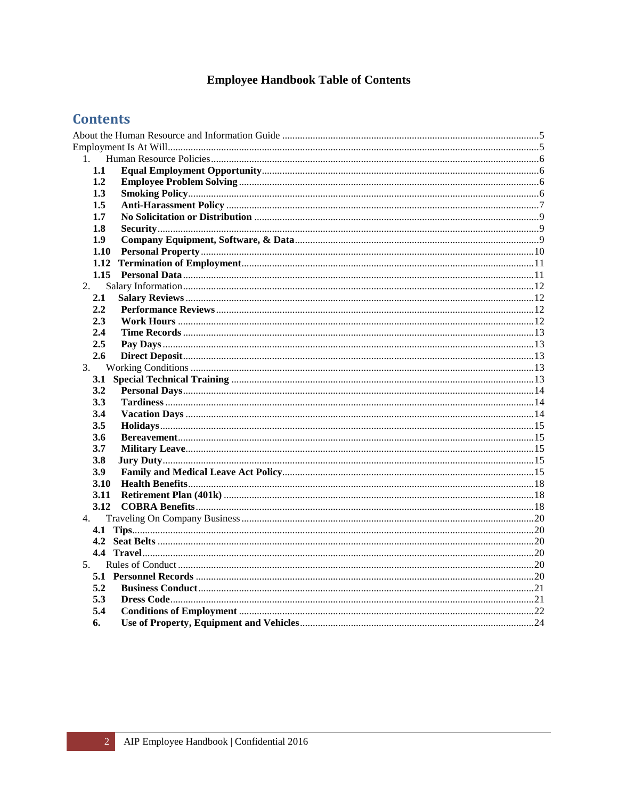# **Employee Handbook Table of Contents**

# **Contents**

| $1_{\cdot}$    |  |
|----------------|--|
| 1.1            |  |
| 1.2            |  |
| 1.3            |  |
| 1.5            |  |
| 1.7            |  |
| 1.8            |  |
| 1.9            |  |
| 1.10           |  |
|                |  |
|                |  |
| 2.             |  |
| 2.1            |  |
| 2.2            |  |
| 2.3            |  |
| 2.4            |  |
| $2.5\,$        |  |
| 2.6            |  |
| 3.             |  |
|                |  |
| 3.2            |  |
| 3.3            |  |
| 3.4            |  |
| 3.5            |  |
| 3.6            |  |
| 3.7            |  |
| <b>3.8</b>     |  |
| 3.9            |  |
| <b>3.10</b>    |  |
|                |  |
| 3.12           |  |
| 4.             |  |
|                |  |
|                |  |
|                |  |
| 5 <sub>1</sub> |  |
|                |  |
| 5.2            |  |
| 5.3            |  |
| 5.4            |  |
| 6.             |  |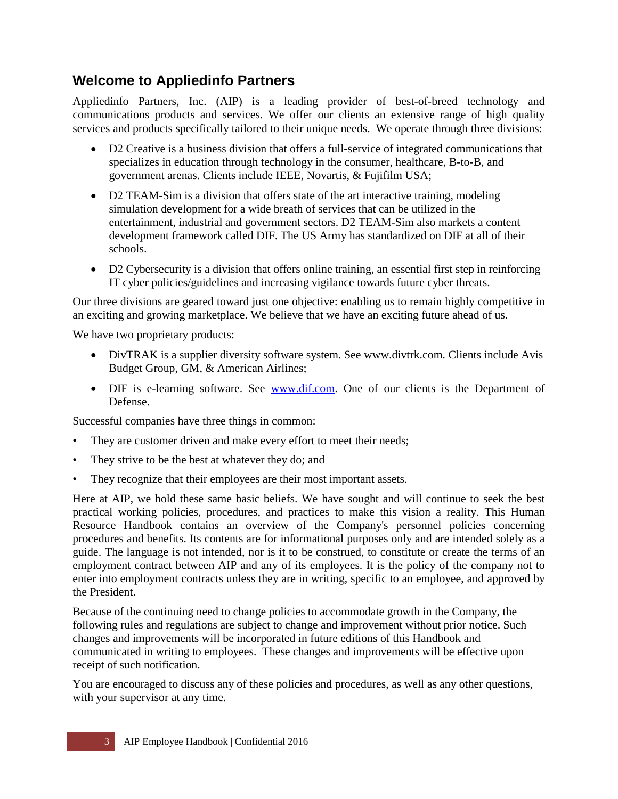# **Welcome to Appliedinfo Partners**

Appliedinfo Partners, Inc. (AIP) is a leading provider of best-of-breed technology and communications products and services. We offer our clients an extensive range of high quality services and products specifically tailored to their unique needs. We operate through three divisions:

- D2 Creative is a business division that offers a full-service of integrated communications that specializes in education through technology in the consumer, healthcare, B-to-B, and government arenas. Clients include IEEE, Novartis, & Fujifilm USA;
- D2 TEAM-Sim is a division that offers state of the art interactive training, modeling simulation development for a wide breath of services that can be utilized in the entertainment, industrial and government sectors. D2 TEAM-Sim also markets a content development framework called DIF. The US Army has standardized on DIF at all of their schools.
- D2 Cybersecurity is a division that offers online training, an essential first step in reinforcing IT cyber policies/guidelines and increasing vigilance towards future cyber threats.

Our three divisions are geared toward just one objective: enabling us to remain highly competitive in an exciting and growing marketplace. We believe that we have an exciting future ahead of us.

We have two proprietary products:

- DivTRAK is a supplier diversity software system. See www.divtrk.com. Clients include Avis Budget Group, GM, & American Airlines;
- DIF is e-learning software. See [www.dif.com.](http://www.dif.com/) One of our clients is the Department of Defense.

Successful companies have three things in common:

- They are customer driven and make every effort to meet their needs;
- They strive to be the best at whatever they do; and
- They recognize that their employees are their most important assets.

Here at AIP, we hold these same basic beliefs. We have sought and will continue to seek the best practical working policies, procedures, and practices to make this vision a reality. This Human Resource Handbook contains an overview of the Company's personnel policies concerning procedures and benefits. Its contents are for informational purposes only and are intended solely as a guide. The language is not intended, nor is it to be construed, to constitute or create the terms of an employment contract between AIP and any of its employees. It is the policy of the company not to enter into employment contracts unless they are in writing, specific to an employee, and approved by the President.

Because of the continuing need to change policies to accommodate growth in the Company, the following rules and regulations are subject to change and improvement without prior notice. Such changes and improvements will be incorporated in future editions of this Handbook and communicated in writing to employees. These changes and improvements will be effective upon receipt of such notification.

You are encouraged to discuss any of these policies and procedures, as well as any other questions, with your supervisor at any time.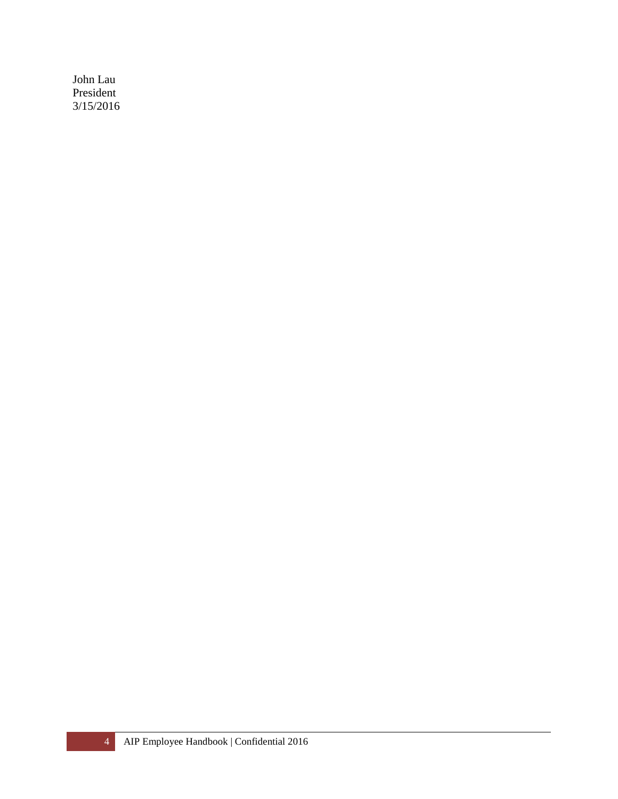John Lau President 3/15/2016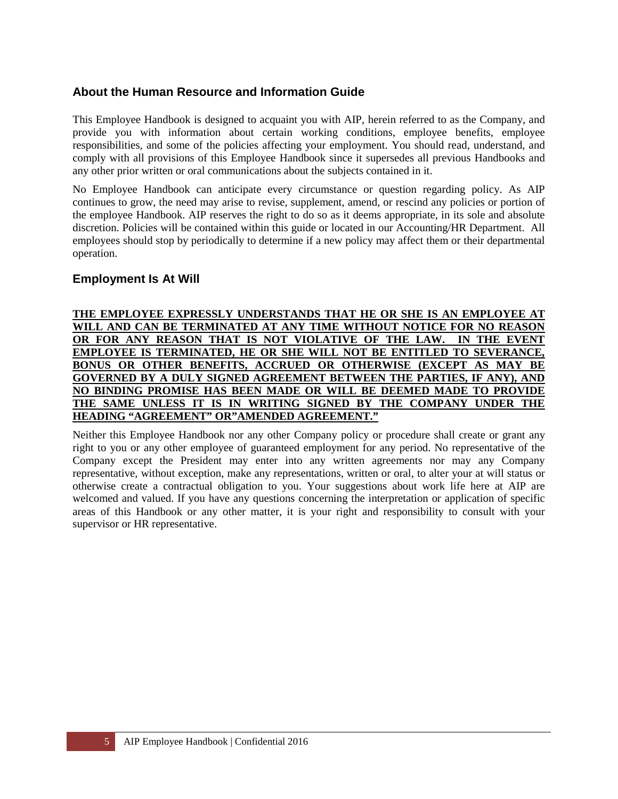#### <span id="page-4-0"></span>**About the Human Resource and Information Guide**

This Employee Handbook is designed to acquaint you with AIP, herein referred to as the Company, and provide you with information about certain working conditions, employee benefits, employee responsibilities, and some of the policies affecting your employment. You should read, understand, and comply with all provisions of this Employee Handbook since it supersedes all previous Handbooks and any other prior written or oral communications about the subjects contained in it.

No Employee Handbook can anticipate every circumstance or question regarding policy. As AIP continues to grow, the need may arise to revise, supplement, amend, or rescind any policies or portion of the employee Handbook. AIP reserves the right to do so as it deems appropriate, in its sole and absolute discretion. Policies will be contained within this guide or located in our Accounting/HR Department. All employees should stop by periodically to determine if a new policy may affect them or their departmental operation.

#### <span id="page-4-1"></span>**Employment Is At Will**

#### **THE EMPLOYEE EXPRESSLY UNDERSTANDS THAT HE OR SHE IS AN EMPLOYEE AT WILL AND CAN BE TERMINATED AT ANY TIME WITHOUT NOTICE FOR NO REASON OR FOR ANY REASON THAT IS NOT VIOLATIVE OF THE LAW. IN THE EVENT EMPLOYEE IS TERMINATED, HE OR SHE WILL NOT BE ENTITLED TO SEVERANCE, BONUS OR OTHER BENEFITS, ACCRUED OR OTHERWISE (EXCEPT AS MAY BE GOVERNED BY A DULY SIGNED AGREEMENT BETWEEN THE PARTIES, IF ANY), AND NO BINDING PROMISE HAS BEEN MADE OR WILL BE DEEMED MADE TO PROVIDE THE SAME UNLESS IT IS IN WRITING SIGNED BY THE COMPANY UNDER THE HEADING "AGREEMENT" OR"AMENDED AGREEMENT."**

Neither this Employee Handbook nor any other Company policy or procedure shall create or grant any right to you or any other employee of guaranteed employment for any period. No representative of the Company except the President may enter into any written agreements nor may any Company representative, without exception, make any representations, written or oral, to alter your at will status or otherwise create a contractual obligation to you. Your suggestions about work life here at AIP are welcomed and valued. If you have any questions concerning the interpretation or application of specific areas of this Handbook or any other matter, it is your right and responsibility to consult with your supervisor or HR representative.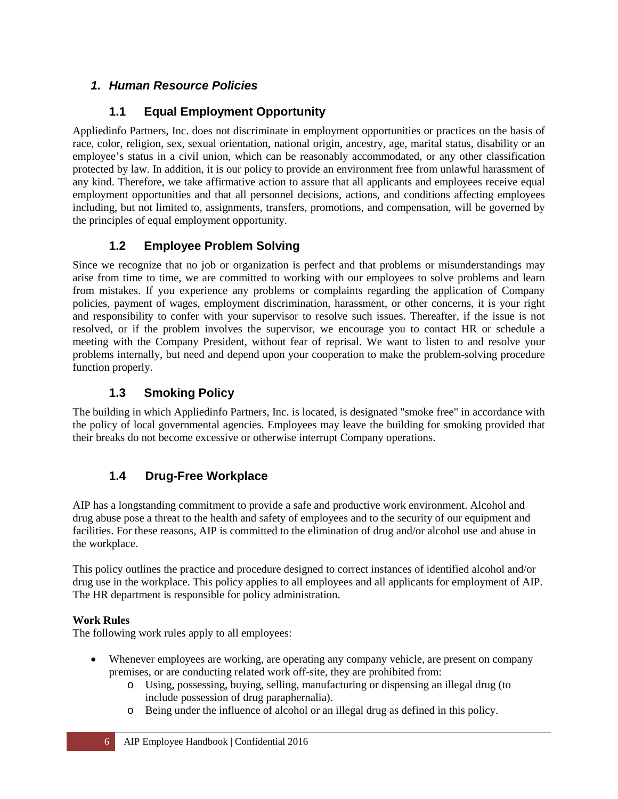# <span id="page-5-0"></span>*1. Human Resource Policies*

# <span id="page-5-1"></span>**1.1 Equal Employment Opportunity**

Appliedinfo Partners, Inc. does not discriminate in employment opportunities or practices on the basis of race, color, religion, sex, sexual orientation, national origin, ancestry, age, marital status, disability or an employee's status in a civil union, which can be reasonably accommodated, or any other classification protected by law. In addition, it is our policy to provide an environment free from unlawful harassment of any kind. Therefore, we take affirmative action to assure that all applicants and employees receive equal employment opportunities and that all personnel decisions, actions, and conditions affecting employees including, but not limited to, assignments, transfers, promotions, and compensation, will be governed by the principles of equal employment opportunity.

## <span id="page-5-2"></span>**1.2 Employee Problem Solving**

Since we recognize that no job or organization is perfect and that problems or misunderstandings may arise from time to time, we are committed to working with our employees to solve problems and learn from mistakes. If you experience any problems or complaints regarding the application of Company policies, payment of wages, employment discrimination, harassment, or other concerns, it is your right and responsibility to confer with your supervisor to resolve such issues. Thereafter, if the issue is not resolved, or if the problem involves the supervisor, we encourage you to contact HR or schedule a meeting with the Company President, without fear of reprisal. We want to listen to and resolve your problems internally, but need and depend upon your cooperation to make the problem-solving procedure function properly.

# <span id="page-5-3"></span>**1.3 Smoking Policy**

The building in which Appliedinfo Partners, Inc. is located, is designated "smoke free" in accordance with the policy of local governmental agencies. Employees may leave the building for smoking provided that their breaks do not become excessive or otherwise interrupt Company operations.

# **1.4 Drug-Free Workplace**

AIP has a longstanding commitment to provide a safe and productive work environment. Alcohol and drug abuse pose a threat to the health and safety of employees and to the security of our equipment and facilities. For these reasons, AIP is committed to the elimination of drug and/or alcohol use and abuse in the workplace.

This policy outlines the practice and procedure designed to correct instances of identified alcohol and/or drug use in the workplace. This policy applies to all employees and all applicants for employment of AIP. The HR department is responsible for policy administration.

#### **Work Rules**

The following work rules apply to all employees:

- Whenever employees are working, are operating any company vehicle, are present on company premises, or are conducting related work off-site, they are prohibited from:
	- o Using, possessing, buying, selling, manufacturing or dispensing an illegal drug (to include possession of drug paraphernalia).
	- o Being under the influence of alcohol or an illegal drug as defined in this policy.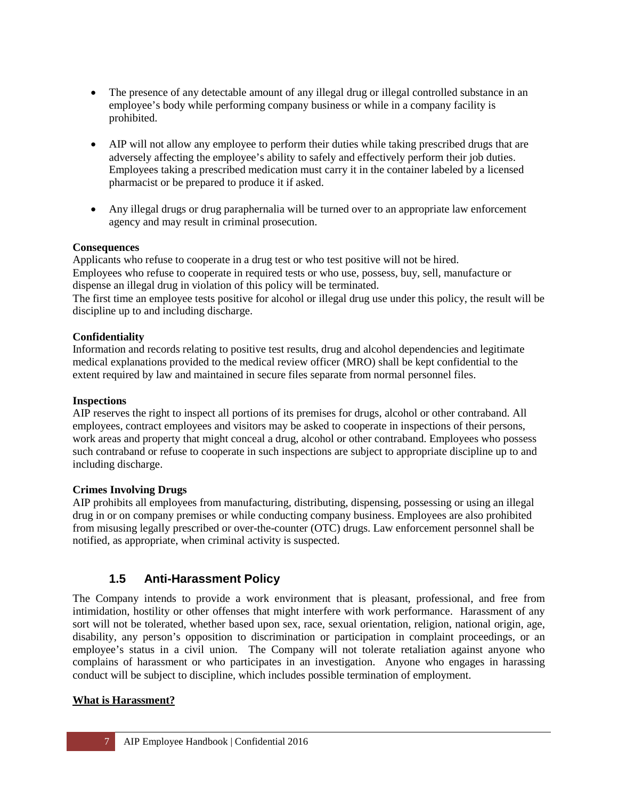- The presence of any detectable amount of any illegal drug or illegal controlled substance in an employee's body while performing company business or while in a company facility is prohibited.
- AIP will not allow any employee to perform their duties while taking prescribed drugs that are adversely affecting the employee's ability to safely and effectively perform their job duties. Employees taking a prescribed medication must carry it in the container labeled by a licensed pharmacist or be prepared to produce it if asked.
- Any illegal drugs or drug paraphernalia will be turned over to an appropriate law enforcement agency and may result in criminal prosecution.

#### **Consequences**

Applicants who refuse to cooperate in a drug test or who test positive will not be hired. Employees who refuse to cooperate in required tests or who use, possess, buy, sell, manufacture or dispense an illegal drug in violation of this policy will be terminated.

The first time an employee tests positive for alcohol or illegal drug use under this policy, the result will be discipline up to and including discharge.

#### **Confidentiality**

Information and records relating to positive test results, drug and alcohol dependencies and legitimate medical explanations provided to the medical review officer (MRO) shall be kept confidential to the extent required by law and maintained in secure files separate from normal personnel files.

#### **Inspections**

AIP reserves the right to inspect all portions of its premises for drugs, alcohol or other contraband. All employees, contract employees and visitors may be asked to cooperate in inspections of their persons, work areas and property that might conceal a drug, alcohol or other contraband. Employees who possess such contraband or refuse to cooperate in such inspections are subject to appropriate discipline up to and including discharge.

#### **Crimes Involving Drugs**

AIP prohibits all employees from manufacturing, distributing, dispensing, possessing or using an illegal drug in or on company premises or while conducting company business. Employees are also prohibited from misusing legally prescribed or over-the-counter (OTC) drugs. Law enforcement personnel shall be notified, as appropriate, when criminal activity is suspected.

#### <span id="page-6-0"></span>**1.5 Anti-Harassment Policy**

The Company intends to provide a work environment that is pleasant, professional, and free from intimidation, hostility or other offenses that might interfere with work performance. Harassment of any sort will not be tolerated, whether based upon sex, race, sexual orientation, religion, national origin, age, disability, any person's opposition to discrimination or participation in complaint proceedings, or an employee's status in a civil union. The Company will not tolerate retaliation against anyone who complains of harassment or who participates in an investigation. Anyone who engages in harassing conduct will be subject to discipline, which includes possible termination of employment.

#### **What is Harassment?**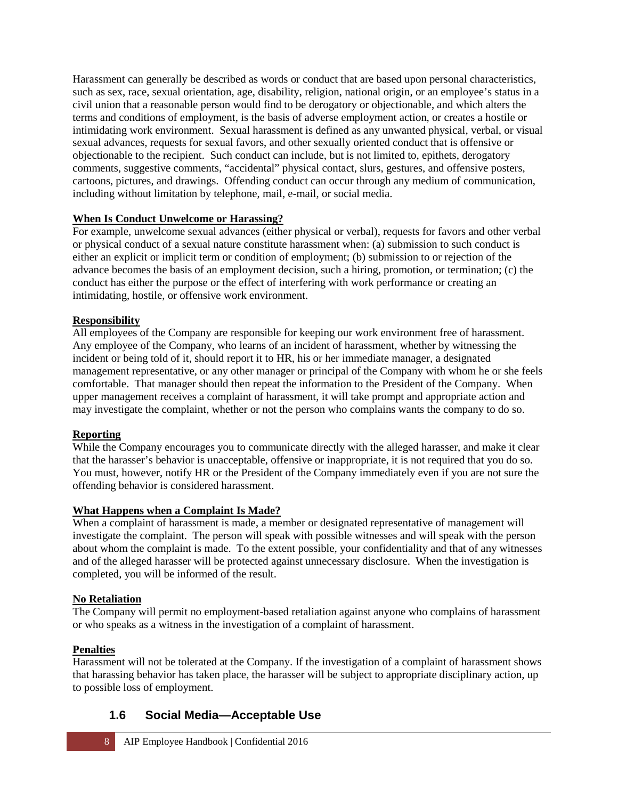Harassment can generally be described as words or conduct that are based upon personal characteristics, such as sex, race, sexual orientation, age, disability, religion, national origin, or an employee's status in a civil union that a reasonable person would find to be derogatory or objectionable, and which alters the terms and conditions of employment, is the basis of adverse employment action, or creates a hostile or intimidating work environment. Sexual harassment is defined as any unwanted physical, verbal, or visual sexual advances, requests for sexual favors, and other sexually oriented conduct that is offensive or objectionable to the recipient. Such conduct can include, but is not limited to, epithets, derogatory comments, suggestive comments, "accidental" physical contact, slurs, gestures, and offensive posters, cartoons, pictures, and drawings. Offending conduct can occur through any medium of communication, including without limitation by telephone, mail, e-mail, or social media.

#### **When Is Conduct Unwelcome or Harassing?**

For example, unwelcome sexual advances (either physical or verbal), requests for favors and other verbal or physical conduct of a sexual nature constitute harassment when: (a) submission to such conduct is either an explicit or implicit term or condition of employment; (b) submission to or rejection of the advance becomes the basis of an employment decision, such a hiring, promotion, or termination; (c) the conduct has either the purpose or the effect of interfering with work performance or creating an intimidating, hostile, or offensive work environment.

#### **Responsibility**

All employees of the Company are responsible for keeping our work environment free of harassment. Any employee of the Company, who learns of an incident of harassment, whether by witnessing the incident or being told of it, should report it to HR, his or her immediate manager, a designated management representative, or any other manager or principal of the Company with whom he or she feels comfortable. That manager should then repeat the information to the President of the Company. When upper management receives a complaint of harassment, it will take prompt and appropriate action and may investigate the complaint, whether or not the person who complains wants the company to do so.

#### **Reporting**

While the Company encourages you to communicate directly with the alleged harasser, and make it clear that the harasser's behavior is unacceptable, offensive or inappropriate, it is not required that you do so. You must, however, notify HR or the President of the Company immediately even if you are not sure the offending behavior is considered harassment.

#### **What Happens when a Complaint Is Made?**

When a complaint of harassment is made, a member or designated representative of management will investigate the complaint. The person will speak with possible witnesses and will speak with the person about whom the complaint is made. To the extent possible, your confidentiality and that of any witnesses and of the alleged harasser will be protected against unnecessary disclosure. When the investigation is completed, you will be informed of the result.

#### **No Retaliation**

The Company will permit no employment-based retaliation against anyone who complains of harassment or who speaks as a witness in the investigation of a complaint of harassment.

#### **Penalties**

Harassment will not be tolerated at the Company. If the investigation of a complaint of harassment shows that harassing behavior has taken place, the harasser will be subject to appropriate disciplinary action, up to possible loss of employment.

#### **1.6 Social Media—Acceptable Use**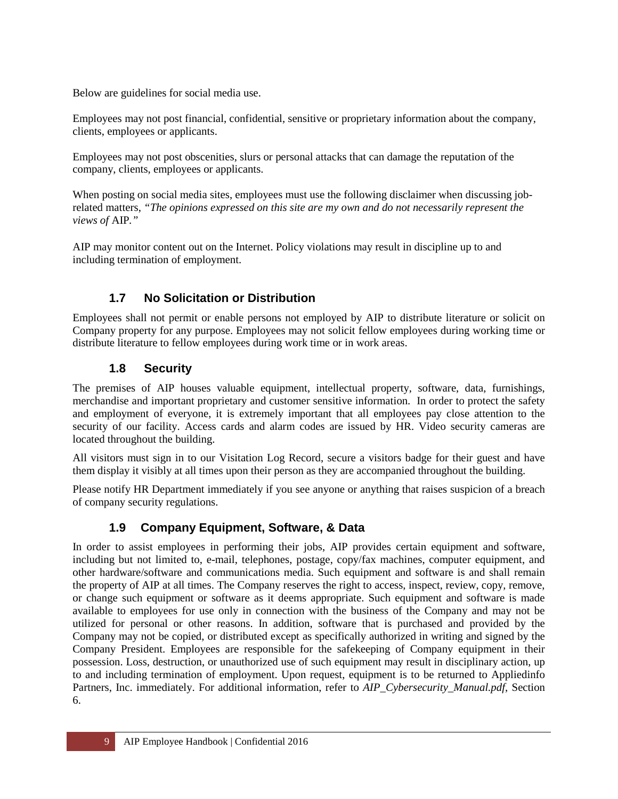Below are guidelines for social media use.

Employees may not post financial, confidential, sensitive or proprietary information about the company, clients, employees or applicants.

Employees may not post obscenities, slurs or personal attacks that can damage the reputation of the company, clients, employees or applicants.

When posting on social media sites, employees must use the following disclaimer when discussing jobrelated matters, *"The opinions expressed on this site are my own and do not necessarily represent the views of* AIP*."* 

AIP may monitor content out on the Internet. Policy violations may result in discipline up to and including termination of employment.

# <span id="page-8-0"></span>**1.7 No Solicitation or Distribution**

Employees shall not permit or enable persons not employed by AIP to distribute literature or solicit on Company property for any purpose. Employees may not solicit fellow employees during working time or distribute literature to fellow employees during work time or in work areas.

## <span id="page-8-1"></span>**1.8 Security**

The premises of AIP houses valuable equipment, intellectual property, software, data, furnishings, merchandise and important proprietary and customer sensitive information. In order to protect the safety and employment of everyone, it is extremely important that all employees pay close attention to the security of our facility. Access cards and alarm codes are issued by HR. Video security cameras are located throughout the building.

All visitors must sign in to our Visitation Log Record, secure a visitors badge for their guest and have them display it visibly at all times upon their person as they are accompanied throughout the building.

Please notify HR Department immediately if you see anyone or anything that raises suspicion of a breach of company security regulations.

# <span id="page-8-2"></span>**1.9 Company Equipment, Software, & Data**

In order to assist employees in performing their jobs, AIP provides certain equipment and software, including but not limited to, e-mail, telephones, postage, copy/fax machines, computer equipment, and other hardware/software and communications media. Such equipment and software is and shall remain the property of AIP at all times. The Company reserves the right to access, inspect, review, copy, remove, or change such equipment or software as it deems appropriate. Such equipment and software is made available to employees for use only in connection with the business of the Company and may not be utilized for personal or other reasons. In addition, software that is purchased and provided by the Company may not be copied, or distributed except as specifically authorized in writing and signed by the Company President. Employees are responsible for the safekeeping of Company equipment in their possession. Loss, destruction, or unauthorized use of such equipment may result in disciplinary action, up to and including termination of employment. Upon request, equipment is to be returned to Appliedinfo Partners, Inc. immediately. For additional information, refer to *AIP\_Cybersecurity\_Manual.pdf*, Section 6.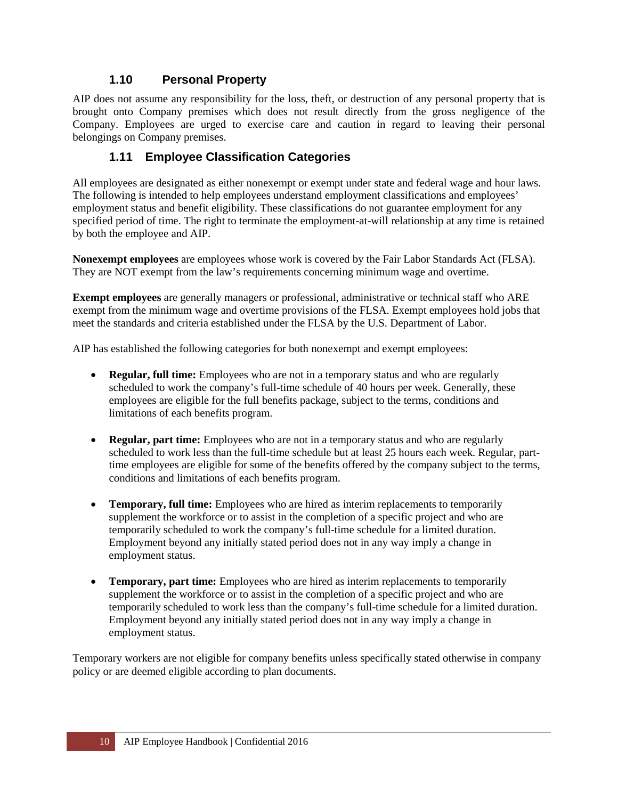#### <span id="page-9-0"></span>**1.10 Personal Property**

AIP does not assume any responsibility for the loss, theft, or destruction of any personal property that is brought onto Company premises which does not result directly from the gross negligence of the Company. Employees are urged to exercise care and caution in regard to leaving their personal belongings on Company premises.

#### **1.11 Employee Classification Categories**

All employees are designated as either nonexempt or exempt under state and federal wage and hour laws. The following is intended to help employees understand employment classifications and employees' employment status and benefit eligibility. These classifications do not guarantee employment for any specified period of time. The right to terminate the employment-at-will relationship at any time is retained by both the employee and AIP.

**Nonexempt employees** are employees whose work is covered by the Fair Labor Standards Act (FLSA). They are NOT exempt from the law's requirements concerning minimum wage and overtime.

**Exempt employees** are generally managers or professional, administrative or technical staff who ARE exempt from the minimum wage and overtime provisions of the FLSA. Exempt employees hold jobs that meet the standards and criteria established under the FLSA by the U.S. Department of Labor.

AIP has established the following categories for both nonexempt and exempt employees:

- **Regular, full time:** Employees who are not in a temporary status and who are regularly scheduled to work the company's full-time schedule of 40 hours per week. Generally, these employees are eligible for the full benefits package, subject to the terms, conditions and limitations of each benefits program.
- **Regular, part time:** Employees who are not in a temporary status and who are regularly scheduled to work less than the full-time schedule but at least 25 hours each week. Regular, parttime employees are eligible for some of the benefits offered by the company subject to the terms, conditions and limitations of each benefits program.
- **Temporary, full time:** Employees who are hired as interim replacements to temporarily supplement the workforce or to assist in the completion of a specific project and who are temporarily scheduled to work the company's full-time schedule for a limited duration. Employment beyond any initially stated period does not in any way imply a change in employment status.
- **Temporary, part time:** Employees who are hired as interim replacements to temporarily supplement the workforce or to assist in the completion of a specific project and who are temporarily scheduled to work less than the company's full-time schedule for a limited duration. Employment beyond any initially stated period does not in any way imply a change in employment status.

Temporary workers are not eligible for company benefits unless specifically stated otherwise in company policy or are deemed eligible according to plan documents.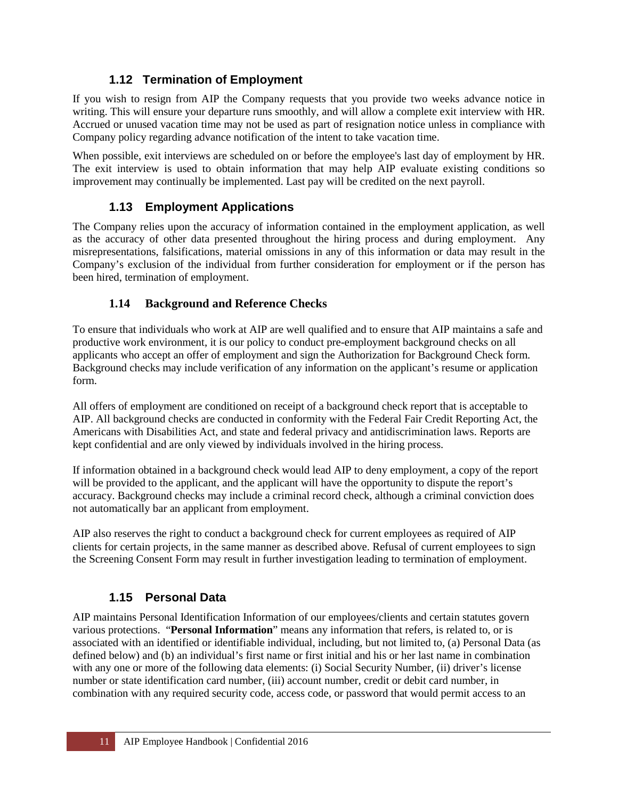## **1.12 Termination of Employment**

<span id="page-10-0"></span>If you wish to resign from AIP the Company requests that you provide two weeks advance notice in writing. This will ensure your departure runs smoothly, and will allow a complete exit interview with HR. Accrued or unused vacation time may not be used as part of resignation notice unless in compliance with Company policy regarding advance notification of the intent to take vacation time.

When possible, exit interviews are scheduled on or before the employee's last day of employment by HR. The exit interview is used to obtain information that may help AIP evaluate existing conditions so improvement may continually be implemented. Last pay will be credited on the next payroll.

## **1.13 Employment Applications**

The Company relies upon the accuracy of information contained in the employment application, as well as the accuracy of other data presented throughout the hiring process and during employment. Any misrepresentations, falsifications, material omissions in any of this information or data may result in the Company's exclusion of the individual from further consideration for employment or if the person has been hired, termination of employment.

#### **1.14 Background and Reference Checks**

To ensure that individuals who work at AIP are well qualified and to ensure that AIP maintains a safe and productive work environment, it is our policy to conduct pre-employment background checks on all applicants who accept an offer of employment and sign the Authorization for Background Check form. Background checks may include verification of any information on the applicant's resume or application form.

All offers of employment are conditioned on receipt of a background check report that is acceptable to AIP. All background checks are conducted in conformity with the Federal Fair Credit Reporting Act, the Americans with Disabilities Act, and state and federal privacy and antidiscrimination laws. Reports are kept confidential and are only viewed by individuals involved in the hiring process.

If information obtained in a background check would lead AIP to deny employment, a copy of the report will be provided to the applicant, and the applicant will have the opportunity to dispute the report's accuracy. Background checks may include a criminal record check, although a criminal conviction does not automatically bar an applicant from employment.

AIP also reserves the right to conduct a background check for current employees as required of AIP clients for certain projects, in the same manner as described above. Refusal of current employees to sign the Screening Consent Form may result in further investigation leading to termination of employment.

# **1.15 Personal Data**

<span id="page-10-1"></span>AIP maintains Personal Identification Information of our employees/clients and certain statutes govern various protections. "**Personal Information**" means any information that refers, is related to, or is associated with an identified or identifiable individual, including, but not limited to, (a) Personal Data (as defined below) and (b) an individual's first name or first initial and his or her last name in combination with any one or more of the following data elements: (i) Social Security Number, (ii) driver's license number or state identification card number, (iii) account number, credit or debit card number, in combination with any required security code, access code, or password that would permit access to an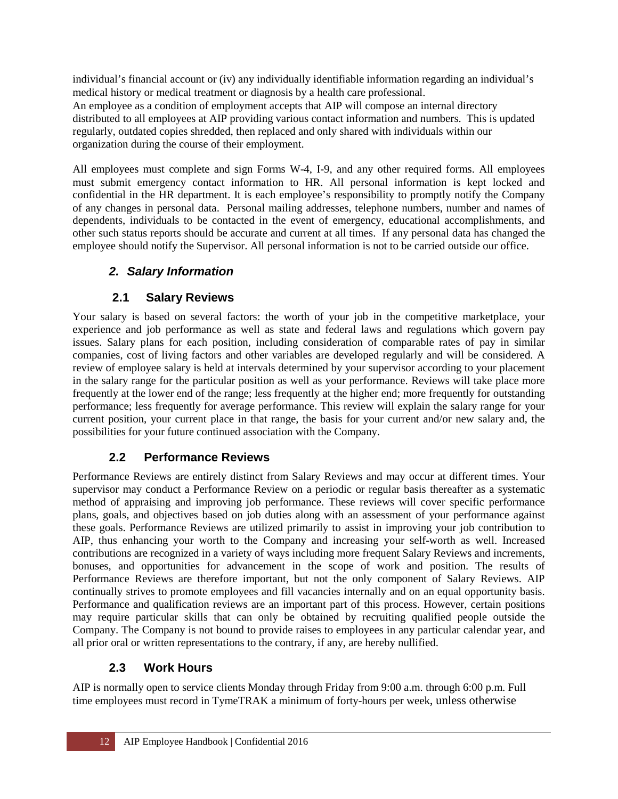individual's financial account or (iv) any individually identifiable information regarding an individual's medical history or medical treatment or diagnosis by a health care professional. An employee as a condition of employment accepts that AIP will compose an internal directory distributed to all employees at AIP providing various contact information and numbers. This is updated regularly, outdated copies shredded, then replaced and only shared with individuals within our organization during the course of their employment.

All employees must complete and sign Forms W-4, I-9, and any other required forms. All employees must submit emergency contact information to HR. All personal information is kept locked and confidential in the HR department. It is each employee's responsibility to promptly notify the Company of any changes in personal data. Personal mailing addresses, telephone numbers, number and names of dependents, individuals to be contacted in the event of emergency, educational accomplishments, and other such status reports should be accurate and current at all times. If any personal data has changed the employee should notify the Supervisor. All personal information is not to be carried outside our office.

# <span id="page-11-0"></span>*2. Salary Information*

# <span id="page-11-1"></span>**2.1 Salary Reviews**

Your salary is based on several factors: the worth of your job in the competitive marketplace, your experience and job performance as well as state and federal laws and regulations which govern pay issues. Salary plans for each position, including consideration of comparable rates of pay in similar companies, cost of living factors and other variables are developed regularly and will be considered. A review of employee salary is held at intervals determined by your supervisor according to your placement in the salary range for the particular position as well as your performance. Reviews will take place more frequently at the lower end of the range; less frequently at the higher end; more frequently for outstanding performance; less frequently for average performance. This review will explain the salary range for your current position, your current place in that range, the basis for your current and/or new salary and, the possibilities for your future continued association with the Company.

# <span id="page-11-2"></span>**2.2 Performance Reviews**

Performance Reviews are entirely distinct from Salary Reviews and may occur at different times. Your supervisor may conduct a Performance Review on a periodic or regular basis thereafter as a systematic method of appraising and improving job performance. These reviews will cover specific performance plans, goals, and objectives based on job duties along with an assessment of your performance against these goals. Performance Reviews are utilized primarily to assist in improving your job contribution to AIP, thus enhancing your worth to the Company and increasing your self-worth as well. Increased contributions are recognized in a variety of ways including more frequent Salary Reviews and increments, bonuses, and opportunities for advancement in the scope of work and position. The results of Performance Reviews are therefore important, but not the only component of Salary Reviews. AIP continually strives to promote employees and fill vacancies internally and on an equal opportunity basis. Performance and qualification reviews are an important part of this process. However, certain positions may require particular skills that can only be obtained by recruiting qualified people outside the Company. The Company is not bound to provide raises to employees in any particular calendar year, and all prior oral or written representations to the contrary, if any, are hereby nullified.

# <span id="page-11-3"></span>**2.3 Work Hours**

AIP is normally open to service clients Monday through Friday from 9:00 a.m. through 6:00 p.m. Full time employees must record in TymeTRAK a minimum of forty-hours per week, unless otherwise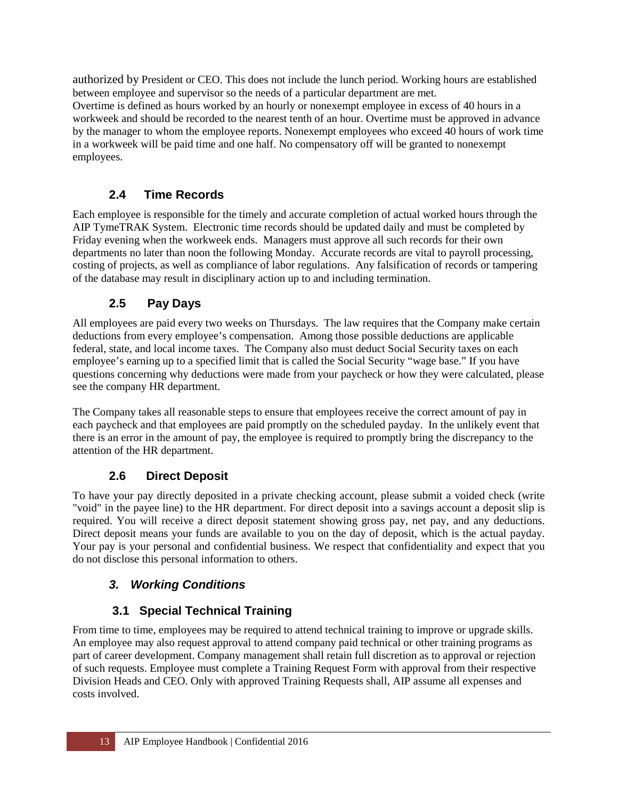authorized by President or CEO. This does not include the lunch period. Working hours are established between employee and supervisor so the needs of a particular department are met. Overtime is defined as hours worked by an hourly or nonexempt employee in excess of 40 hours in a workweek and should be recorded to the nearest tenth of an hour. Overtime must be approved in advance by the manager to whom the employee reports. Nonexempt employees who exceed 40 hours of work time in a workweek will be paid time and one half. No compensatory off will be granted to nonexempt employees.

# <span id="page-12-0"></span>**2.4 Time Records**

Each employee is responsible for the timely and accurate completion of actual worked hours through the AIP TymeTRAK System. Electronic time records should be updated daily and must be completed by Friday evening when the workweek ends. Managers must approve all such records for their own departments no later than noon the following Monday. Accurate records are vital to payroll processing, costing of projects, as well as compliance of labor regulations. Any falsification of records or tampering of the database may result in disciplinary action up to and including termination.

# <span id="page-12-1"></span>**2.5 Pay Days**

All employees are paid every two weeks on Thursdays. The law requires that the Company make certain deductions from every employee's compensation. Among those possible deductions are applicable federal, state, and local income taxes. The Company also must deduct Social Security taxes on each employee's earning up to a specified limit that is called the Social Security "wage base." If you have questions concerning why deductions were made from your paycheck or how they were calculated, please see the company HR department.

The Company takes all reasonable steps to ensure that employees receive the correct amount of pay in each paycheck and that employees are paid promptly on the scheduled payday. In the unlikely event that there is an error in the amount of pay, the employee is required to promptly bring the discrepancy to the attention of the HR department.

# **2.6 Direct Deposit**

<span id="page-12-2"></span>To have your pay directly deposited in a private checking account, please submit a voided check (write "void" in the payee line) to the HR department. For direct deposit into a savings account a deposit slip is required. You will receive a direct deposit statement showing gross pay, net pay, and any deductions. Direct deposit means your funds are available to you on the day of deposit, which is the actual payday. Your pay is your personal and confidential business. We respect that confidentiality and expect that you do not disclose this personal information to others.

# <span id="page-12-3"></span>*3. Working Conditions*

# <span id="page-12-4"></span>**3.1 Special Technical Training**

From time to time, employees may be required to attend technical training to improve or upgrade skills. An employee may also request approval to attend company paid technical or other training programs as part of career development. Company management shall retain full discretion as to approval or rejection of such requests. Employee must complete a Training Request Form with approval from their respective Division Heads and CEO. Only with approved Training Requests shall, AIP assume all expenses and costs involved.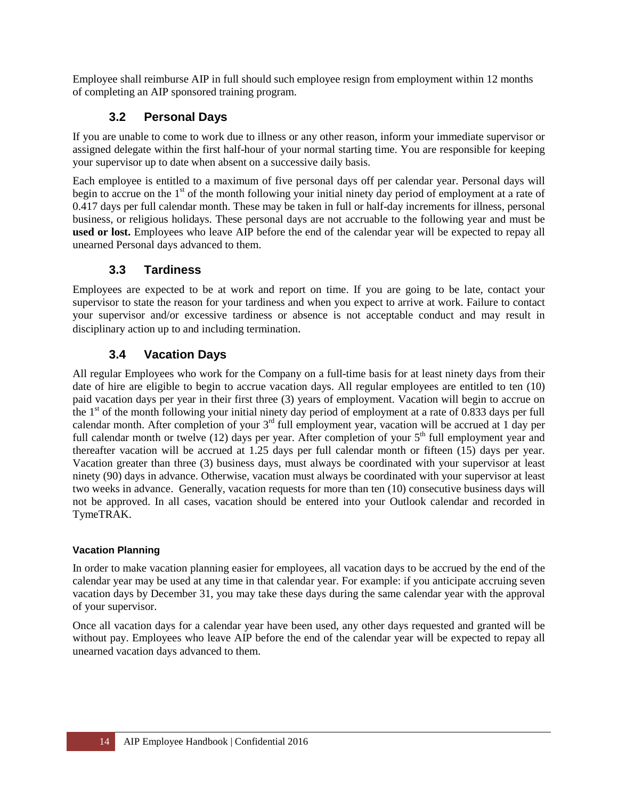Employee shall reimburse AIP in full should such employee resign from employment within 12 months of completing an AIP sponsored training program.

# <span id="page-13-0"></span>**3.2 Personal Days**

If you are unable to come to work due to illness or any other reason, inform your immediate supervisor or assigned delegate within the first half-hour of your normal starting time. You are responsible for keeping your supervisor up to date when absent on a successive daily basis.

Each employee is entitled to a maximum of five personal days off per calendar year. Personal days will begin to accrue on the 1<sup>st</sup> of the month following your initial ninety day period of employment at a rate of 0.417 days per full calendar month. These may be taken in full or half-day increments for illness, personal business, or religious holidays. These personal days are not accruable to the following year and must be **used or lost.** Employees who leave AIP before the end of the calendar year will be expected to repay all unearned Personal days advanced to them.

# <span id="page-13-1"></span>**3.3 Tardiness**

Employees are expected to be at work and report on time. If you are going to be late, contact your supervisor to state the reason for your tardiness and when you expect to arrive at work. Failure to contact your supervisor and/or excessive tardiness or absence is not acceptable conduct and may result in disciplinary action up to and including termination.

# <span id="page-13-2"></span>**3.4 Vacation Days**

All regular Employees who work for the Company on a full-time basis for at least ninety days from their date of hire are eligible to begin to accrue vacation days. All regular employees are entitled to ten (10) paid vacation days per year in their first three (3) years of employment. Vacation will begin to accrue on the  $1<sup>st</sup>$  of the month following your initial ninety day period of employment at a rate of 0.833 days per full calendar month. After completion of your  $3<sup>rd</sup>$  full employment year, vacation will be accrued at 1 day per full calendar month or twelve (12) days per year. After completion of your  $5<sup>th</sup>$  full employment year and thereafter vacation will be accrued at 1.25 days per full calendar month or fifteen (15) days per year. Vacation greater than three (3) business days, must always be coordinated with your supervisor at least ninety (90) days in advance. Otherwise, vacation must always be coordinated with your supervisor at least two weeks in advance. Generally, vacation requests for more than ten (10) consecutive business days will not be approved. In all cases, vacation should be entered into your Outlook calendar and recorded in TymeTRAK.

#### **Vacation Planning**

In order to make vacation planning easier for employees, all vacation days to be accrued by the end of the calendar year may be used at any time in that calendar year. For example: if you anticipate accruing seven vacation days by December 31, you may take these days during the same calendar year with the approval of your supervisor.

Once all vacation days for a calendar year have been used, any other days requested and granted will be without pay. Employees who leave AIP before the end of the calendar year will be expected to repay all unearned vacation days advanced to them.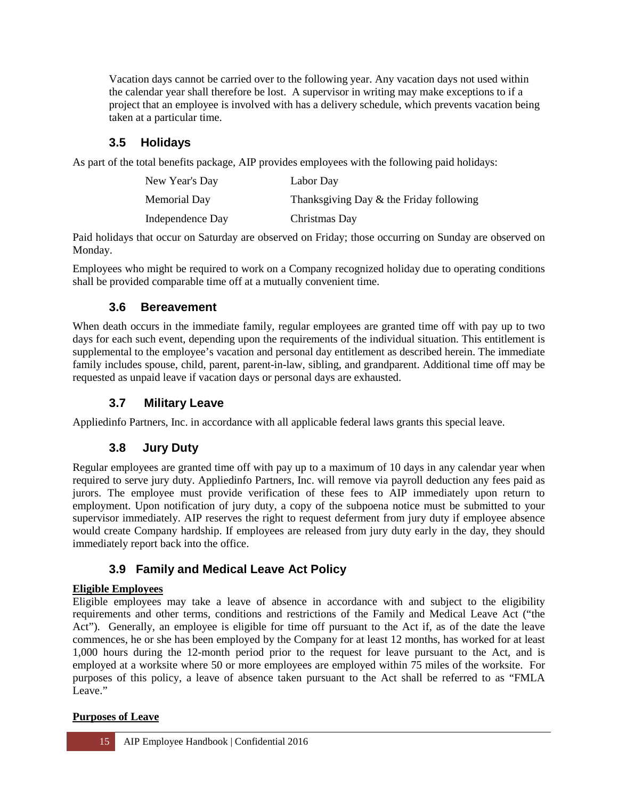Vacation days cannot be carried over to the following year. Any vacation days not used within the calendar year shall therefore be lost. A supervisor in writing may make exceptions to if a project that an employee is involved with has a delivery schedule, which prevents vacation being taken at a particular time.

# <span id="page-14-0"></span>**3.5 Holidays**

As part of the total benefits package, AIP provides employees with the following paid holidays:

| New Year's Day   | Labor Day                               |
|------------------|-----------------------------------------|
| Memorial Day     | Thanksgiving Day & the Friday following |
| Independence Day | Christmas Day                           |

Paid holidays that occur on Saturday are observed on Friday; those occurring on Sunday are observed on Monday.

Employees who might be required to work on a Company recognized holiday due to operating conditions shall be provided comparable time off at a mutually convenient time.

# <span id="page-14-1"></span>**3.6 Bereavement**

When death occurs in the immediate family, regular employees are granted time off with pay up to two days for each such event, depending upon the requirements of the individual situation. This entitlement is supplemental to the employee's vacation and personal day entitlement as described herein. The immediate family includes spouse, child, parent, parent-in-law, sibling, and grandparent. Additional time off may be requested as unpaid leave if vacation days or personal days are exhausted.

# <span id="page-14-2"></span>**3.7 Military Leave**

<span id="page-14-3"></span>Appliedinfo Partners, Inc. in accordance with all applicable federal laws grants this special leave.

# **3.8 Jury Duty**

Regular employees are granted time off with pay up to a maximum of 10 days in any calendar year when required to serve jury duty. Appliedinfo Partners, Inc. will remove via payroll deduction any fees paid as jurors. The employee must provide verification of these fees to AIP immediately upon return to employment. Upon notification of jury duty, a copy of the subpoena notice must be submitted to your supervisor immediately. AIP reserves the right to request deferment from jury duty if employee absence would create Company hardship. If employees are released from jury duty early in the day, they should immediately report back into the office.

# <span id="page-14-4"></span>**3.9 Family and Medical Leave Act Policy**

#### **Eligible Employees**

Eligible employees may take a leave of absence in accordance with and subject to the eligibility requirements and other terms, conditions and restrictions of the Family and Medical Leave Act ("the Act"). Generally, an employee is eligible for time off pursuant to the Act if, as of the date the leave commences, he or she has been employed by the Company for at least 12 months, has worked for at least 1,000 hours during the 12-month period prior to the request for leave pursuant to the Act, and is employed at a worksite where 50 or more employees are employed within 75 miles of the worksite. For purposes of this policy, a leave of absence taken pursuant to the Act shall be referred to as "FMLA Leave."

#### **Purposes of Leave**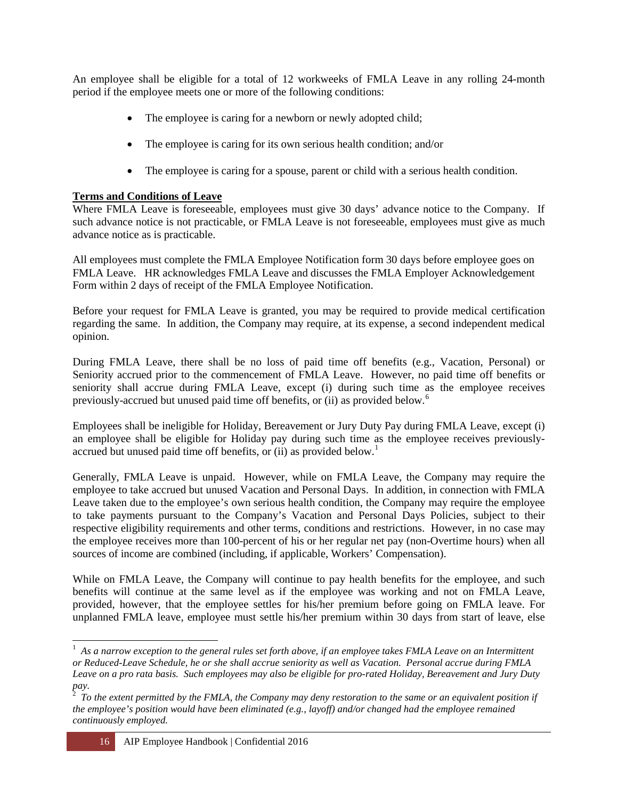An employee shall be eligible for a total of 12 workweeks of FMLA Leave in any rolling 24-month period if the employee meets one or more of the following conditions:

- The employee is caring for a newborn or newly adopted child;
- The employee is caring for its own serious health condition; and/or
- The employee is caring for a spouse, parent or child with a serious health condition.

#### **Terms and Conditions of Leave**

Where FMLA Leave is foreseeable, employees must give 30 days' advance notice to the Company. If such advance notice is not practicable, or FMLA Leave is not foreseeable, employees must give as much advance notice as is practicable.

All employees must complete the FMLA Employee Notification form 30 days before employee goes on FMLA Leave. HR acknowledges FMLA Leave and discusses the FMLA Employer Acknowledgement Form within 2 days of receipt of the FMLA Employee Notification.

Before your request for FMLA Leave is granted, you may be required to provide medical certification regarding the same. In addition, the Company may require, at its expense, a second independent medical opinion.

During FMLA Leave, there shall be no loss of paid time off benefits (e.g., Vacation, Personal) or Seniority accrued prior to the commencement of FMLA Leave. However, no paid time off benefits or seniority shall accrue during FMLA Leave, except (i) during such time as the employee receives previously-accrued but unused paid time off benefits, or (ii) as provided below.[6](#page-15-0)

Employees shall be ineligible for Holiday, Bereavement or Jury Duty Pay during FMLA Leave, except (i) an employee shall be eligible for Holiday pay during such time as the employee receives previously-accrued but unused paid time off benefits, or (ii) as provided below.<sup>[1](#page-15-1)</sup>

Generally, FMLA Leave is unpaid. However, while on FMLA Leave, the Company may require the employee to take accrued but unused Vacation and Personal Days. In addition, in connection with FMLA Leave taken due to the employee's own serious health condition, the Company may require the employee to take payments pursuant to the Company's Vacation and Personal Days Policies, subject to their respective eligibility requirements and other terms, conditions and restrictions. However, in no case may the employee receives more than 100-percent of his or her regular net pay (non-Overtime hours) when all sources of income are combined (including, if applicable, Workers' Compensation).

While on FMLA Leave, the Company will continue to pay health benefits for the employee, and such benefits will continue at the same level as if the employee was working and not on FMLA Leave, provided, however, that the employee settles for his/her premium before going on FMLA leave. For unplanned FMLA leave, employee must settle his/her premium within 30 days from start of leave, else

 $\overline{a}$ 

<span id="page-15-0"></span> $1$  As a narrow exception to the general rules set forth above, if an employee takes FMLA Leave on an Intermittent *or Reduced-Leave Schedule, he or she shall accrue seniority as well as Vacation. Personal accrue during FMLA Leave on a pro rata basis. Such employees may also be eligible for pro-rated Holiday, Bereavement and Jury Duty* 

<span id="page-15-1"></span>*pay.* <sup>2</sup>  *To the extent permitted by the FMLA, the Company may deny restoration to the same or an equivalent position if the employee's position would have been eliminated (e.g., layoff) and/or changed had the employee remained continuously employed.*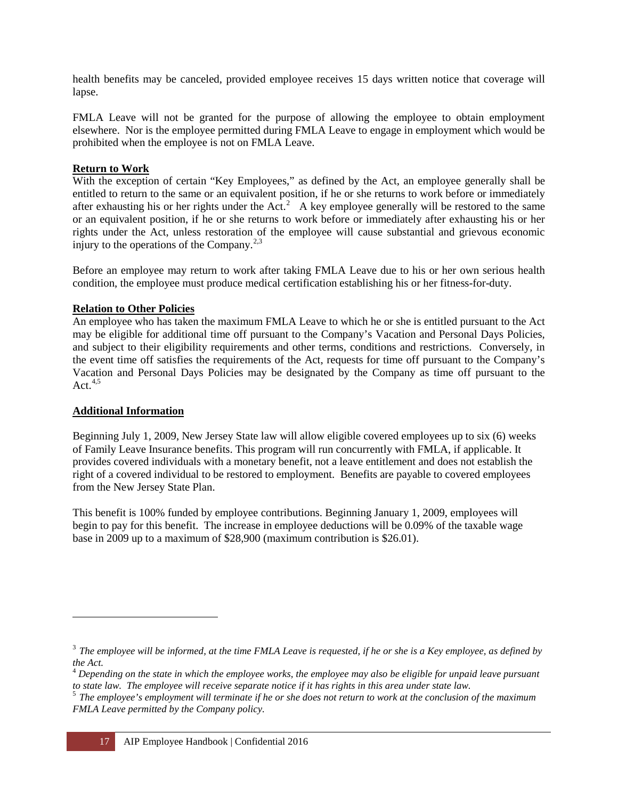health benefits may be canceled, provided employee receives 15 days written notice that coverage will lapse.

FMLA Leave will not be granted for the purpose of allowing the employee to obtain employment elsewhere. Nor is the employee permitted during FMLA Leave to engage in employment which would be prohibited when the employee is not on FMLA Leave.

#### **Return to Work**

With the exception of certain "Key Employees," as defined by the Act, an employee generally shall be entitled to return to the same or an equivalent position, if he or she returns to work before or immediately after exhausting his or her rights under the Act.<sup>[2](#page-16-0)</sup> A key employee generally will be restored to the same or an equivalent position, if he or she returns to work before or immediately after exhausting his or her rights under the Act, unless restoration of the employee will cause substantial and grievous economic injury to the operations of the Company.<sup>[2,3](#page-16-1)</sup>

Before an employee may return to work after taking FMLA Leave due to his or her own serious health condition, the employee must produce medical certification establishing his or her fitness-for-duty.

#### **Relation to Other Policies**

An employee who has taken the maximum FMLA Leave to which he or she is entitled pursuant to the Act may be eligible for additional time off pursuant to the Company's Vacation and Personal Days Policies, and subject to their eligibility requirements and other terms, conditions and restrictions. Conversely, in the event time off satisfies the requirements of the Act, requests for time off pursuant to the Company's Vacation and Personal Days Policies may be designated by the Company as time off pursuant to the Act. $4,5$ 

#### **Additional Information**

 $\overline{a}$ 

Beginning July 1, 2009, New Jersey State law will allow eligible covered employees up to six (6) weeks of Family Leave Insurance benefits. This program will run concurrently with FMLA, if applicable. It provides covered individuals with a monetary benefit, not a leave entitlement and does not establish the right of a covered individual to be restored to employment. Benefits are payable to covered employees from the New Jersey State Plan.

This benefit is 100% funded by employee contributions. Beginning January 1, 2009, employees will begin to pay for this benefit. The increase in employee deductions will be 0.09% of the taxable wage base in 2009 up to a maximum of \$28,900 (maximum contribution is \$26.01).

<span id="page-16-1"></span><span id="page-16-0"></span><sup>3</sup>*The employee will be informed, at the time FMLA Leave is requested, if he or she is a Key employee, as defined by the Act.*

<span id="page-16-2"></span><sup>&</sup>lt;sup>4</sup> Depending on the state in which the employee works, the employee may also be eligible for unpaid leave pursuant to state law.<br>to state law. The employee will receive separate notice if it has rights in this area under

 $5$  The employee's employment will terminate if he or she does not return to work at the conclusion of the maximum *FMLA Leave permitted by the Company policy.*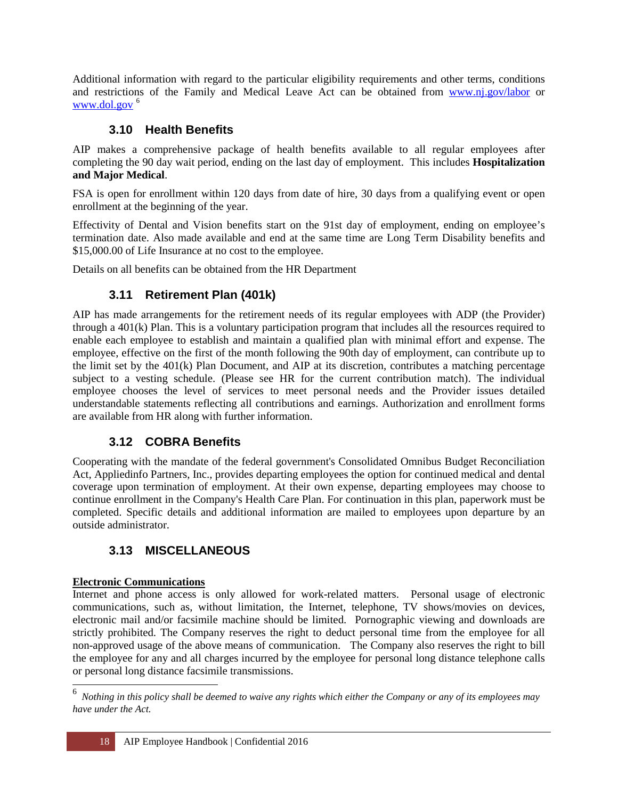Additional information with regard to the particular eligibility requirements and other terms, conditions and restrictions of the Family and Medical Leave Act can be obtained from [www.nj.gov/labor](http://www.nj.gov/labor) or [www.dol.gov](http://www.dol.gov/)<sup>[6](#page-17-3)</sup>

## **3.10 Health Benefits**

<span id="page-17-0"></span>AIP makes a comprehensive package of health benefits available to all regular employees after completing the 90 day wait period, ending on the last day of employment. This includes **Hospitalization and Major Medical**.

FSA is open for enrollment within 120 days from date of hire, 30 days from a qualifying event or open enrollment at the beginning of the year.

Effectivity of Dental and Vision benefits start on the 91st day of employment, ending on employee's termination date. Also made available and end at the same time are Long Term Disability benefits and \$15,000.00 of Life Insurance at no cost to the employee.

<span id="page-17-1"></span>Details on all benefits can be obtained from the HR Department

# **3.11 Retirement Plan (401k)**

AIP has made arrangements for the retirement needs of its regular employees with ADP (the Provider) through a 401(k) Plan. This is a voluntary participation program that includes all the resources required to enable each employee to establish and maintain a qualified plan with minimal effort and expense. The employee, effective on the first of the month following the 90th day of employment, can contribute up to the limit set by the 401(k) Plan Document, and AIP at its discretion, contributes a matching percentage subject to a vesting schedule. (Please see HR for the current contribution match). The individual employee chooses the level of services to meet personal needs and the Provider issues detailed understandable statements reflecting all contributions and earnings. Authorization and enrollment forms are available from HR along with further information.

# **3.12 COBRA Benefits**

<span id="page-17-2"></span>Cooperating with the mandate of the federal government's Consolidated Omnibus Budget Reconciliation Act, Appliedinfo Partners, Inc., provides departing employees the option for continued medical and dental coverage upon termination of employment. At their own expense, departing employees may choose to continue enrollment in the Company's Health Care Plan. For continuation in this plan, paperwork must be completed. Specific details and additional information are mailed to employees upon departure by an outside administrator.

# **3.13 MISCELLANEOUS**

#### **Electronic Communications**

 $\overline{a}$ 

Internet and phone access is only allowed for work-related matters. Personal usage of electronic communications, such as, without limitation, the Internet, telephone, TV shows/movies on devices, electronic mail and/or facsimile machine should be limited. Pornographic viewing and downloads are strictly prohibited. The Company reserves the right to deduct personal time from the employee for all non-approved usage of the above means of communication. The Company also reserves the right to bill the employee for any and all charges incurred by the employee for personal long distance telephone calls or personal long distance facsimile transmissions.

<span id="page-17-3"></span><sup>&</sup>lt;sup>6</sup> Nothing in this policy shall be deemed to waive any rights which either the Company or any of its employees may *have under the Act.*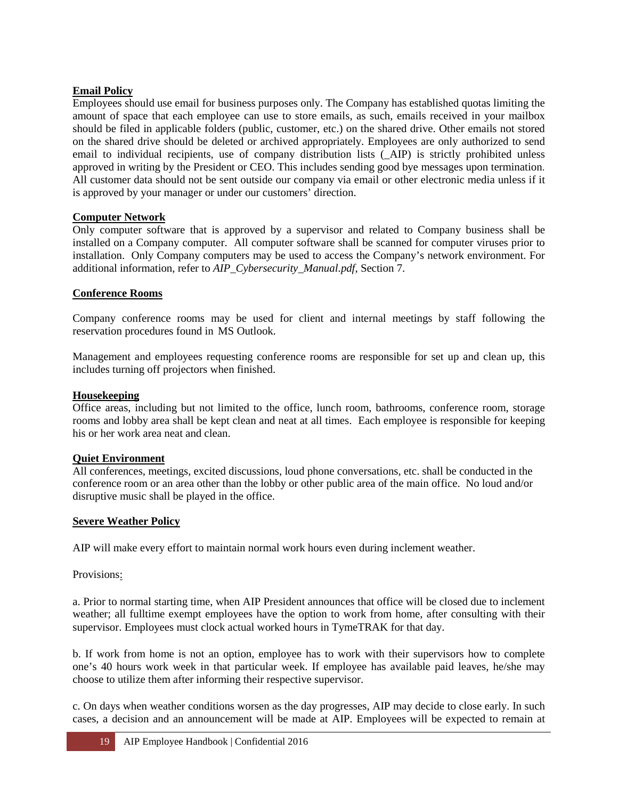#### **Email Policy**

Employees should use email for business purposes only. The Company has established quotas limiting the amount of space that each employee can use to store emails, as such, emails received in your mailbox should be filed in applicable folders (public, customer, etc.) on the shared drive. Other emails not stored on the shared drive should be deleted or archived appropriately. Employees are only authorized to send email to individual recipients, use of company distribution lists (\_AIP) is strictly prohibited unless approved in writing by the President or CEO. This includes sending good bye messages upon termination. All customer data should not be sent outside our company via email or other electronic media unless if it is approved by your manager or under our customers' direction.

#### **Computer Network**

Only computer software that is approved by a supervisor and related to Company business shall be installed on a Company computer. All computer software shall be scanned for computer viruses prior to installation. Only Company computers may be used to access the Company's network environment. For additional information, refer to *AIP\_Cybersecurity\_Manual.pdf*, Section 7.

#### **Conference Rooms**

Company conference rooms may be used for client and internal meetings by staff following the reservation procedures found in MS Outlook.

Management and employees requesting conference rooms are responsible for set up and clean up, this includes turning off projectors when finished.

#### **Housekeeping**

Office areas, including but not limited to the office, lunch room, bathrooms, conference room, storage rooms and lobby area shall be kept clean and neat at all times. Each employee is responsible for keeping his or her work area neat and clean.

#### **Quiet Environment**

All conferences, meetings, excited discussions, loud phone conversations, etc. shall be conducted in the conference room or an area other than the lobby or other public area of the main office. No loud and/or disruptive music shall be played in the office.

#### **Severe Weather Policy**

AIP will make every effort to maintain normal work hours even during inclement weather.

Provisions:

a. Prior to normal starting time, when AIP President announces that office will be closed due to inclement weather; all fulltime exempt employees have the option to work from home, after consulting with their supervisor. Employees must clock actual worked hours in TymeTRAK for that day.

b. If work from home is not an option, employee has to work with their supervisors how to complete one's 40 hours work week in that particular week. If employee has available paid leaves, he/she may choose to utilize them after informing their respective supervisor.

c. On days when weather conditions worsen as the day progresses, AIP may decide to close early. In such cases, a decision and an announcement will be made at AIP. Employees will be expected to remain at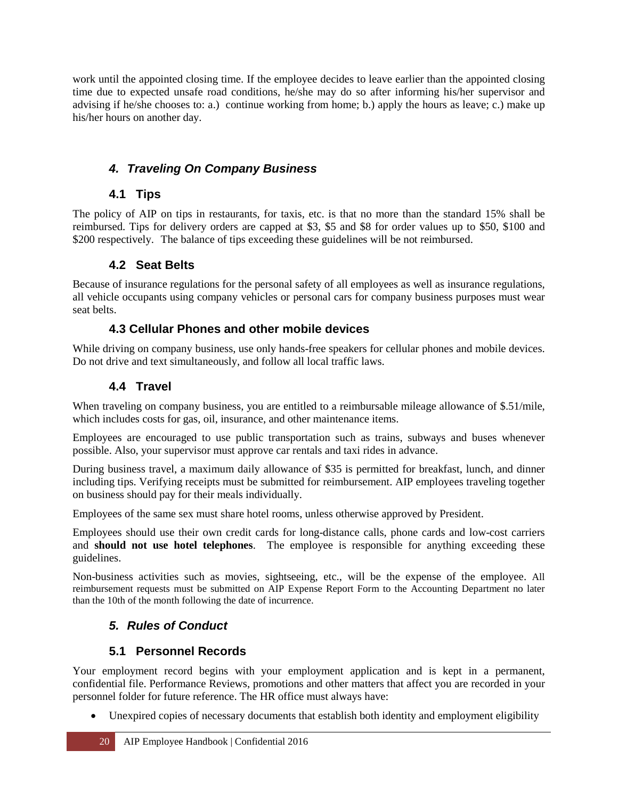work until the appointed closing time. If the employee decides to leave earlier than the appointed closing time due to expected unsafe road conditions, he/she may do so after informing his/her supervisor and advising if he/she chooses to: a.) continue working from home; b.) apply the hours as leave; c.) make up his/her hours on another day.

# <span id="page-19-0"></span>*4. Traveling On Company Business*

## **4.1 Tips**

<span id="page-19-1"></span>The policy of AIP on tips in restaurants, for taxis, etc. is that no more than the standard 15% shall be reimbursed. Tips for delivery orders are capped at \$3, \$5 and \$8 for order values up to \$50, \$100 and \$200 respectively. The balance of tips exceeding these guidelines will be not reimbursed.

# **4.2 Seat Belts**

<span id="page-19-2"></span>Because of insurance regulations for the personal safety of all employees as well as insurance regulations, all vehicle occupants using company vehicles or personal cars for company business purposes must wear seat belts.

## **4.3 Cellular Phones and other mobile devices**

While driving on company business, use only hands-free speakers for cellular phones and mobile devices. Do not drive and text simultaneously, and follow all local traffic laws.

# **4.4 Travel**

<span id="page-19-3"></span>When traveling on company business, you are entitled to a reimbursable mileage allowance of \$.51/mile, which includes costs for gas, oil, insurance, and other maintenance items.

Employees are encouraged to use public transportation such as trains, subways and buses whenever possible. Also, your supervisor must approve car rentals and taxi rides in advance.

During business travel, a maximum daily allowance of \$35 is permitted for breakfast, lunch, and dinner including tips. Verifying receipts must be submitted for reimbursement. AIP employees traveling together on business should pay for their meals individually.

Employees of the same sex must share hotel rooms, unless otherwise approved by President.

Employees should use their own credit cards for long-distance calls, phone cards and low-cost carriers and **should not use hotel telephones**. The employee is responsible for anything exceeding these guidelines.

Non-business activities such as movies, sightseeing, etc., will be the expense of the employee. All reimbursement requests must be submitted on AIP Expense Report Form to the Accounting Department no later than the 10th of the month following the date of incurrence.

# <span id="page-19-4"></span>*5. Rules of Conduct*

# **5.1 Personnel Records**

<span id="page-19-5"></span>Your employment record begins with your employment application and is kept in a permanent, confidential file. Performance Reviews, promotions and other matters that affect you are recorded in your personnel folder for future reference. The HR office must always have:

• Unexpired copies of necessary documents that establish both identity and employment eligibility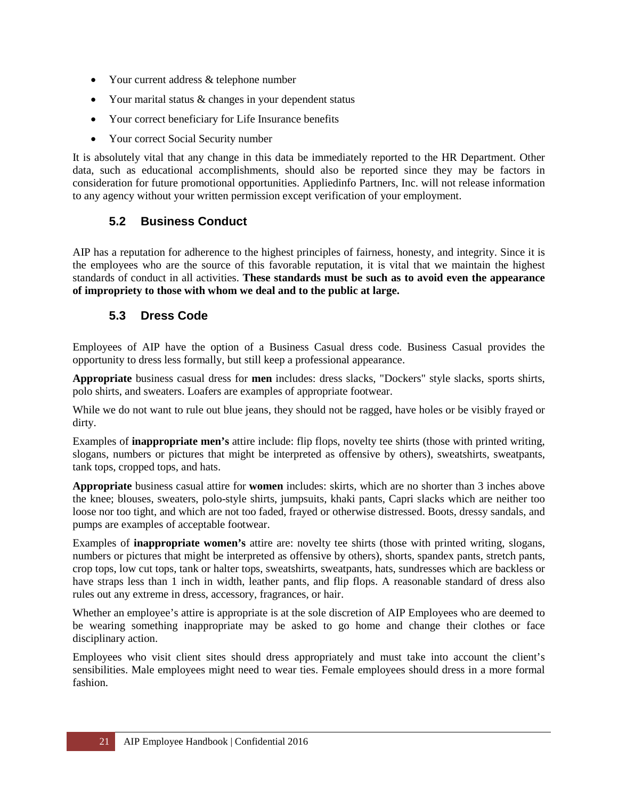- Your current address & telephone number
- Your marital status & changes in your dependent status
- Your correct beneficiary for Life Insurance benefits
- Your correct Social Security number

It is absolutely vital that any change in this data be immediately reported to the HR Department. Other data, such as educational accomplishments, should also be reported since they may be factors in consideration for future promotional opportunities. Appliedinfo Partners, Inc. will not release information to any agency without your written permission except verification of your employment.

#### <span id="page-20-0"></span>**5.2 Business Conduct**

AIP has a reputation for adherence to the highest principles of fairness, honesty, and integrity. Since it is the employees who are the source of this favorable reputation, it is vital that we maintain the highest standards of conduct in all activities. **These standards must be such as to avoid even the appearance of impropriety to those with whom we deal and to the public at large.** 

#### <span id="page-20-1"></span>**5.3 Dress Code**

Employees of AIP have the option of a Business Casual dress code. Business Casual provides the opportunity to dress less formally, but still keep a professional appearance.

**Appropriate** business casual dress for **men** includes: dress slacks, "Dockers" style slacks, sports shirts, polo shirts, and sweaters. Loafers are examples of appropriate footwear.

While we do not want to rule out blue jeans, they should not be ragged, have holes or be visibly frayed or dirty.

Examples of **inappropriate men's** attire include: flip flops, novelty tee shirts (those with printed writing, slogans, numbers or pictures that might be interpreted as offensive by others), sweatshirts, sweatpants, tank tops, cropped tops, and hats.

**Appropriate** business casual attire for **women** includes: skirts, which are no shorter than 3 inches above the knee; blouses, sweaters, polo-style shirts, jumpsuits, khaki pants, Capri slacks which are neither too loose nor too tight, and which are not too faded, frayed or otherwise distressed. Boots, dressy sandals, and pumps are examples of acceptable footwear.

Examples of **inappropriate women's** attire are: novelty tee shirts (those with printed writing, slogans, numbers or pictures that might be interpreted as offensive by others), shorts, spandex pants, stretch pants, crop tops, low cut tops, tank or halter tops, sweatshirts, sweatpants, hats, sundresses which are backless or have straps less than 1 inch in width, leather pants, and flip flops. A reasonable standard of dress also rules out any extreme in dress, accessory, fragrances, or hair.

Whether an employee's attire is appropriate is at the sole discretion of AIP Employees who are deemed to be wearing something inappropriate may be asked to go home and change their clothes or face disciplinary action.

Employees who visit client sites should dress appropriately and must take into account the client's sensibilities. Male employees might need to wear ties. Female employees should dress in a more formal fashion.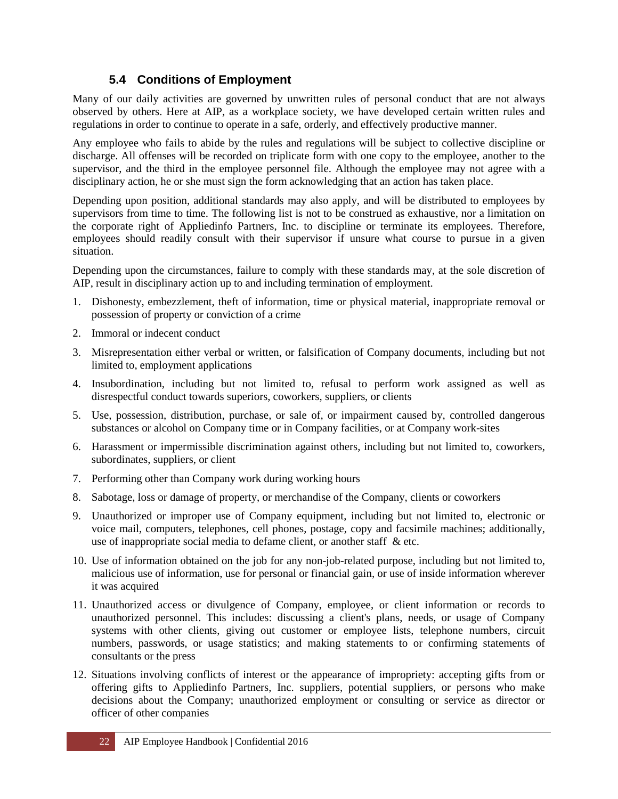## <span id="page-21-0"></span>**5.4 Conditions of Employment**

Many of our daily activities are governed by unwritten rules of personal conduct that are not always observed by others. Here at AIP, as a workplace society, we have developed certain written rules and regulations in order to continue to operate in a safe, orderly, and effectively productive manner.

Any employee who fails to abide by the rules and regulations will be subject to collective discipline or discharge. All offenses will be recorded on triplicate form with one copy to the employee, another to the supervisor, and the third in the employee personnel file. Although the employee may not agree with a disciplinary action, he or she must sign the form acknowledging that an action has taken place.

Depending upon position, additional standards may also apply, and will be distributed to employees by supervisors from time to time. The following list is not to be construed as exhaustive, nor a limitation on the corporate right of Appliedinfo Partners, Inc. to discipline or terminate its employees. Therefore, employees should readily consult with their supervisor if unsure what course to pursue in a given situation.

Depending upon the circumstances, failure to comply with these standards may, at the sole discretion of AIP, result in disciplinary action up to and including termination of employment.

- 1. Dishonesty, embezzlement, theft of information, time or physical material, inappropriate removal or possession of property or conviction of a crime
- 2. Immoral or indecent conduct
- 3. Misrepresentation either verbal or written, or falsification of Company documents, including but not limited to, employment applications
- 4. Insubordination, including but not limited to, refusal to perform work assigned as well as disrespectful conduct towards superiors, coworkers, suppliers, or clients
- 5. Use, possession, distribution, purchase, or sale of, or impairment caused by, controlled dangerous substances or alcohol on Company time or in Company facilities, or at Company work-sites
- 6. Harassment or impermissible discrimination against others, including but not limited to, coworkers, subordinates, suppliers, or client
- 7. Performing other than Company work during working hours
- 8. Sabotage, loss or damage of property, or merchandise of the Company, clients or coworkers
- 9. Unauthorized or improper use of Company equipment, including but not limited to, electronic or voice mail, computers, telephones, cell phones, postage, copy and facsimile machines; additionally, use of inappropriate social media to defame client, or another staff & etc.
- 10. Use of information obtained on the job for any non-job-related purpose, including but not limited to, malicious use of information, use for personal or financial gain, or use of inside information wherever it was acquired
- 11. Unauthorized access or divulgence of Company, employee, or client information or records to unauthorized personnel. This includes: discussing a client's plans, needs, or usage of Company systems with other clients, giving out customer or employee lists, telephone numbers, circuit numbers, passwords, or usage statistics; and making statements to or confirming statements of consultants or the press
- 12. Situations involving conflicts of interest or the appearance of impropriety: accepting gifts from or offering gifts to Appliedinfo Partners, Inc. suppliers, potential suppliers, or persons who make decisions about the Company; unauthorized employment or consulting or service as director or officer of other companies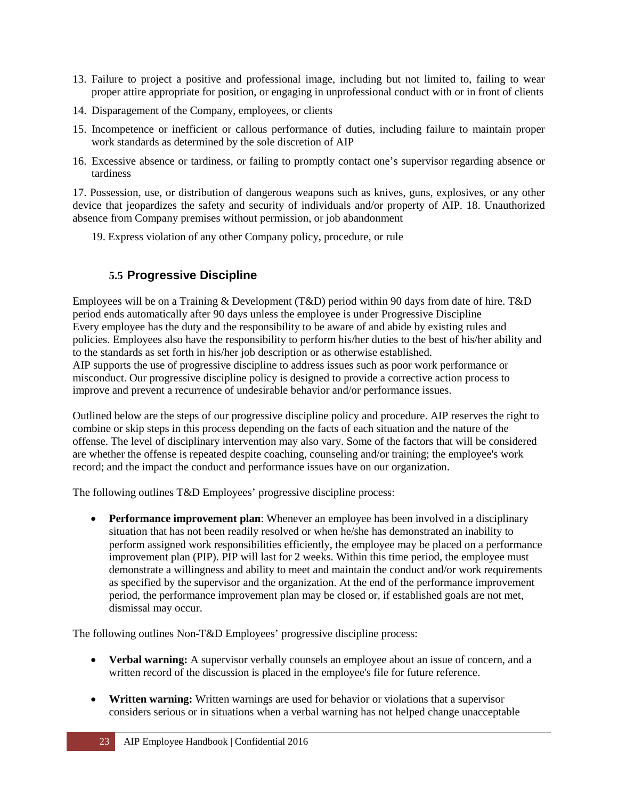- 13. Failure to project a positive and professional image, including but not limited to, failing to wear proper attire appropriate for position, or engaging in unprofessional conduct with or in front of clients
- 14. Disparagement of the Company, employees, or clients
- 15. Incompetence or inefficient or callous performance of duties, including failure to maintain proper work standards as determined by the sole discretion of AIP
- 16. Excessive absence or tardiness, or failing to promptly contact one's supervisor regarding absence or tardiness

17. Possession, use, or distribution of dangerous weapons such as knives, guns, explosives, or any other device that jeopardizes the safety and security of individuals and/or property of AIP. 18. Unauthorized absence from Company premises without permission, or job abandonment

19. Express violation of any other Company policy, procedure, or rule

#### **5.5 Progressive Discipline**

Employees will be on a Training & Development (T&D) period within 90 days from date of hire. T&D period ends automatically after 90 days unless the employee is under Progressive Discipline Every employee has the duty and the responsibility to be aware of and abide by existing rules and policies. Employees also have the responsibility to perform his/her duties to the best of his/her ability and to the standards as set forth in his/her job description or as otherwise established. AIP supports the use of progressive discipline to address issues such as poor work performance or misconduct. Our progressive discipline policy is designed to provide a corrective action process to improve and prevent a recurrence of undesirable behavior and/or performance issues.

Outlined below are the steps of our progressive discipline policy and procedure. AIP reserves the right to combine or skip steps in this process depending on the facts of each situation and the nature of the offense. The level of disciplinary intervention may also vary. Some of the factors that will be considered are whether the offense is repeated despite coaching, counseling and/or training; the employee's work record; and the impact the conduct and performance issues have on our organization.

The following outlines T&D Employees' progressive discipline process:

• **Performance improvement plan**: Whenever an employee has been involved in a disciplinary situation that has not been readily resolved or when he/she has demonstrated an inability to perform assigned work responsibilities efficiently, the employee may be placed on a performance improvement plan (PIP). PIP will last for 2 weeks. Within this time period, the employee must demonstrate a willingness and ability to meet and maintain the conduct and/or work requirements as specified by the supervisor and the organization. At the end of the performance improvement period, the performance improvement plan may be closed or, if established goals are not met, dismissal may occur.

The following outlines Non-T&D Employees' progressive discipline process:

- **Verbal warning:** A supervisor verbally counsels an employee about an issue of concern, and a written record of the discussion is placed in the employee's file for future reference.
- **Written warning:** Written warnings are used for behavior or violations that a supervisor considers serious or in situations when a verbal warning has not helped change unacceptable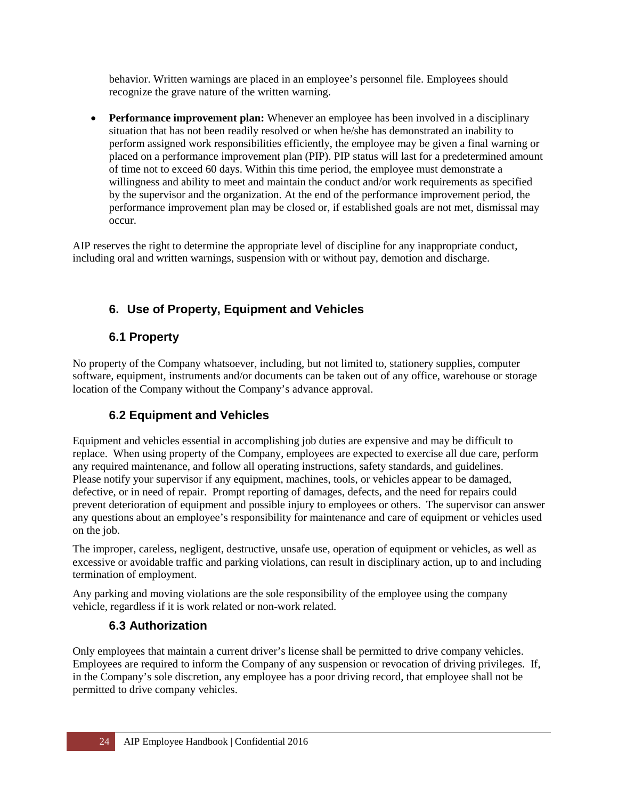behavior. Written warnings are placed in an employee's personnel file. Employees should recognize the grave nature of the written warning.

• **Performance improvement plan:** Whenever an employee has been involved in a disciplinary situation that has not been readily resolved or when he/she has demonstrated an inability to perform assigned work responsibilities efficiently, the employee may be given a final warning or placed on a performance improvement plan (PIP). PIP status will last for a predetermined amount of time not to exceed 60 days. Within this time period, the employee must demonstrate a willingness and ability to meet and maintain the conduct and/or work requirements as specified by the supervisor and the organization. At the end of the performance improvement period, the performance improvement plan may be closed or, if established goals are not met, dismissal may occur.

AIP reserves the right to determine the appropriate level of discipline for any inappropriate conduct, including oral and written warnings, suspension with or without pay, demotion and discharge.

# <span id="page-23-0"></span>**6. Use of Property, Equipment and Vehicles**

# **6.1 Property**

No property of the Company whatsoever, including, but not limited to, stationery supplies, computer software, equipment, instruments and/or documents can be taken out of any office, warehouse or storage location of the Company without the Company's advance approval.

# **6.2 Equipment and Vehicles**

Equipment and vehicles essential in accomplishing job duties are expensive and may be difficult to replace. When using property of the Company, employees are expected to exercise all due care, perform any required maintenance, and follow all operating instructions, safety standards, and guidelines. Please notify your supervisor if any equipment, machines, tools, or vehicles appear to be damaged, defective, or in need of repair. Prompt reporting of damages, defects, and the need for repairs could prevent deterioration of equipment and possible injury to employees or others. The supervisor can answer any questions about an employee's responsibility for maintenance and care of equipment or vehicles used on the job.

The improper, careless, negligent, destructive, unsafe use, operation of equipment or vehicles, as well as excessive or avoidable traffic and parking violations, can result in disciplinary action, up to and including termination of employment.

Any parking and moving violations are the sole responsibility of the employee using the company vehicle, regardless if it is work related or non-work related.

#### **6.3 Authorization**

Only employees that maintain a current driver's license shall be permitted to drive company vehicles. Employees are required to inform the Company of any suspension or revocation of driving privileges. If, in the Company's sole discretion, any employee has a poor driving record, that employee shall not be permitted to drive company vehicles.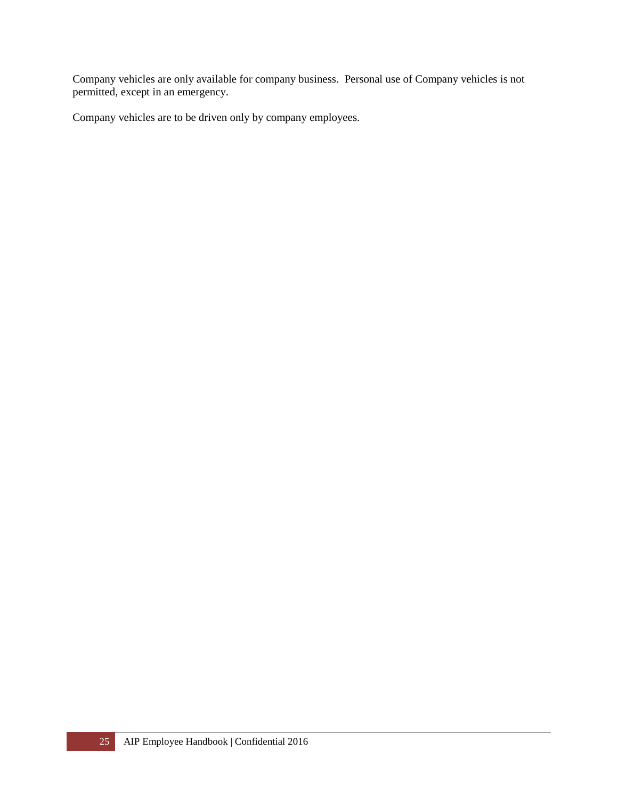Company vehicles are only available for company business. Personal use of Company vehicles is not permitted, except in an emergency.

Company vehicles are to be driven only by company employees.